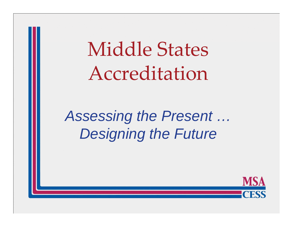Middle States Accreditation

*Assessing the Present … Designing the Future*

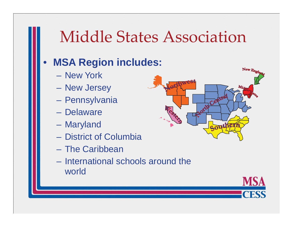## Middle States Association

#### $\bullet$ **MSA Region includes:**

- New York
- $\mathcal{L}_{\mathcal{A}}$  , and the set of  $\mathcal{L}_{\mathcal{A}}$ New Jersey
- –– Pennsylvania
- Delaware
- Mar yland
- District of Columbia
- The Caribbean
- International schools around the world



MS

`FSS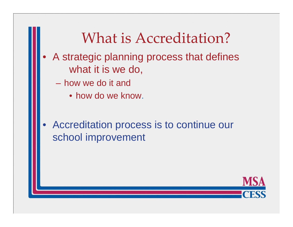### What is Accreditation?

- $\bullet$  A strategic planning process that defines what it is we do,
	- how we do it and
		- how do we know.
- $\bullet$  Accreditation process is to continue our school improvement

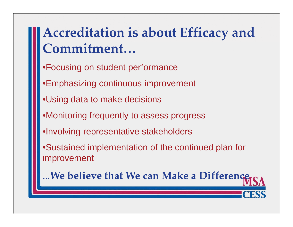### **Accreditation is about Efficacy and Commitment…**

- •Focusing on student performance
- •Emphasizing continuous improvement
- •Using data to make decisions
- •Monitoring frequently to assess progress
- •Involving representative stakeholders
- •Sustained implementation of the continued plan for improvement

**…We believe that We can Make <sup>a</sup> Difference**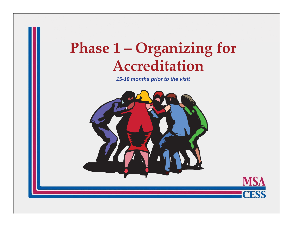# **Phase <sup>1</sup> – Organizing for Accreditation**

*15-18 months prior to the visit*

**MSA** 

**CESS** 

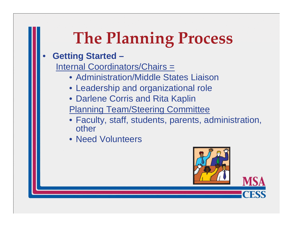# **The Planning Process The**

#### •**Getting Started –**

Internal Coordinators/Chairs =

- Administration/Middle States Liaison
- Leadership and organizational role
- Darlene Corris and Rita Kaplin
- Planning Team/Steering Committee
- Faculty, staff, students, parents, administration, other
- Need Volunteers

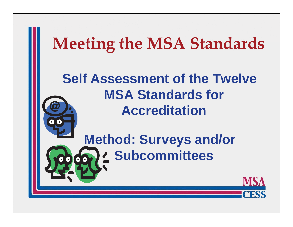# **Meeting the MSA Standards**

**Self Assessment of the Twelve MSA Standards for Accreditation**

> **Method: Surveys and/or Subcommittees**

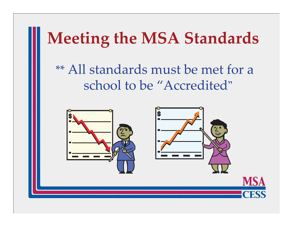# **Meeting the MSA Standards**

 $**$  All standards must be met for a school to be "Accredited "

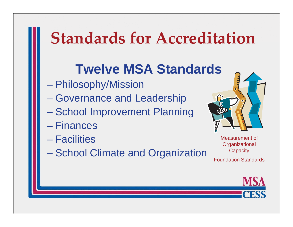# **Standards for Accreditation**

### **Twelve MSA Standards**

- $\mathcal{L}_{\mathcal{A}}$ Philosophy/Mission
- Governance and Leadership
- School Improvement Planning
- Finances
- Facilities
- **School Climate and Organization**



Measurement of **Organizational Capacity** Foundation Standards

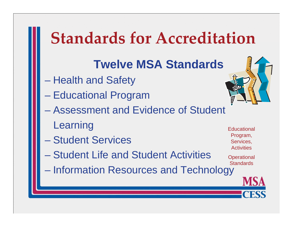# **Standards for Accreditation**

#### **Twelve MSA Standards**

- Health and Safety
- Educational Pro gram
- Assessment and Evidence of Student Learning Educational Educational
- Student Services
- Student Life and Student Activities Activities
- Information Resources and Technology **Standards**



Program, Services, **Activities** 

**Operational**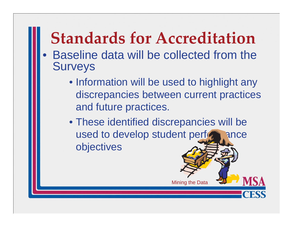# **Standards for Accreditation**

- $\bullet$  Baseline data will be collected from the Surveys
	- Information will be used to highlight any discrepancies between current practices and future practices.
	- These identified discrepancies will be used to develop student performance objectives

Minin g the Data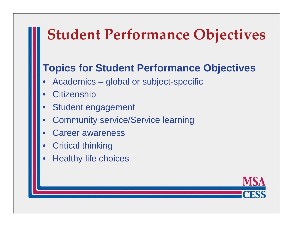## **Student Performance Objectives**

#### **Topics for Student Performance Objectives**

- •Academics – global or subject-specific
- •**Citizenship**
- •Student engagement
- •Community service/Service learning
- •Career awareness
- •Critical thinking
- •**Healthy life choices**